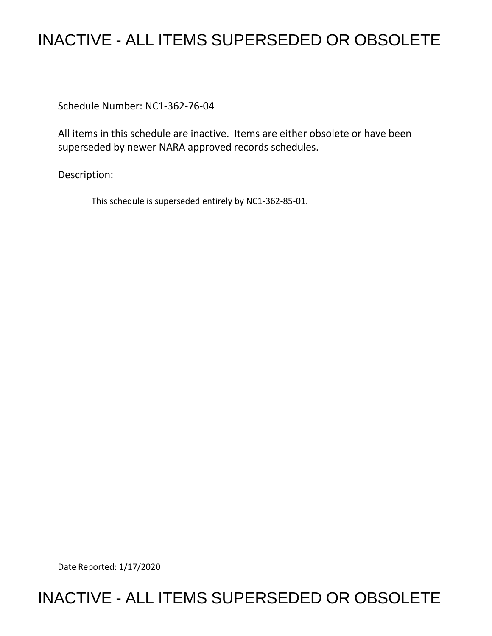## INACTIVE - ALL ITEMS SUPERSEDED OR OBSOLETE

Schedule Number: NC1-362-76-04

All items in this schedule are inactive. Items are either obsolete or have been superseded by newer NARA approved records schedules.

Description:

This schedule is superseded entirely by NC1-362-85-01.

Date Reported: 1/17/2020

## INACTIVE - ALL ITEMS SUPERSEDED OR OBSOLETE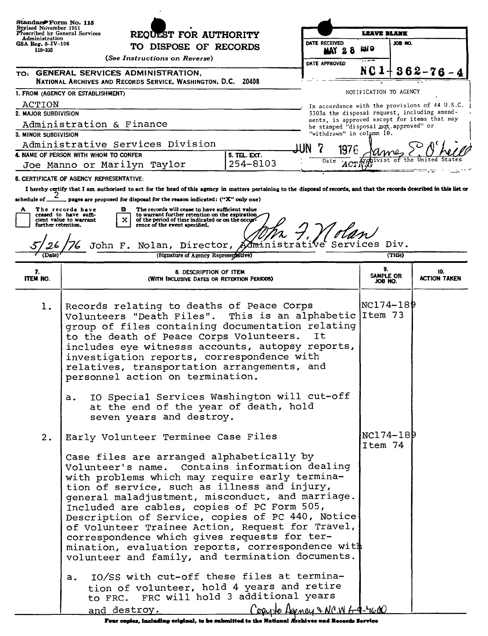| Standard Form No. 115<br>Revised November 1951<br>Prescribed by General Services<br>Administration<br>$GSA$ $Re$ g. $3$ -IV-106 |                                                 | REQUEST FOR AUTHORITY<br>TO DISPOSE OF RECORDS                                                                                                                                                                                                                                                                                                                                                                                                                                                                                                                    |          |                             | LEAVE BLANK                                                                                    |                     |
|---------------------------------------------------------------------------------------------------------------------------------|-------------------------------------------------|-------------------------------------------------------------------------------------------------------------------------------------------------------------------------------------------------------------------------------------------------------------------------------------------------------------------------------------------------------------------------------------------------------------------------------------------------------------------------------------------------------------------------------------------------------------------|----------|-----------------------------|------------------------------------------------------------------------------------------------|---------------------|
|                                                                                                                                 |                                                 |                                                                                                                                                                                                                                                                                                                                                                                                                                                                                                                                                                   |          | DATE RECEIVED               | JOB NO.                                                                                        |                     |
| 115-103                                                                                                                         |                                                 | (See Instructions on Reverse)                                                                                                                                                                                                                                                                                                                                                                                                                                                                                                                                     |          | <b>MAY 28</b>               | kn o                                                                                           |                     |
|                                                                                                                                 |                                                 | TO: GENERAL SERVICES ADMINISTRATION,                                                                                                                                                                                                                                                                                                                                                                                                                                                                                                                              |          | DATE APPROVED               | NC 1                                                                                           | $362 - 76$          |
|                                                                                                                                 |                                                 | NATIONAL ARCHIVES AND RECORDS SERVICE, WASHINGTON, D.C. 20408                                                                                                                                                                                                                                                                                                                                                                                                                                                                                                     |          |                             |                                                                                                |                     |
|                                                                                                                                 | 1. FROM (AGENCY OR ESTABLISHMENT)               |                                                                                                                                                                                                                                                                                                                                                                                                                                                                                                                                                                   |          |                             | NOTIFICATION TO AGENCY                                                                         |                     |
| ACTION<br>2. MAJOR SUBDIVISION                                                                                                  |                                                 |                                                                                                                                                                                                                                                                                                                                                                                                                                                                                                                                                                   |          |                             | In accordance with the provisions of 44 U.S.C.<br>3303a the disposal request, including amend- |                     |
|                                                                                                                                 | Administration & Finance                        |                                                                                                                                                                                                                                                                                                                                                                                                                                                                                                                                                                   |          |                             | ments, is approved except for items that may<br>be stamped "disposal not approved" or          |                     |
| 3. MINOR SUBDIVISION                                                                                                            |                                                 |                                                                                                                                                                                                                                                                                                                                                                                                                                                                                                                                                                   |          | "withdrawn" in column 10.   |                                                                                                |                     |
|                                                                                                                                 |                                                 | Administrative Services Division                                                                                                                                                                                                                                                                                                                                                                                                                                                                                                                                  |          | 1976                        |                                                                                                |                     |
| 4. NAME OF PERSON WITH WHOM TO CONFER<br>5. TEL. EXT.<br>Joe Manno or Marilyn Taylor                                            |                                                 |                                                                                                                                                                                                                                                                                                                                                                                                                                                                                                                                                                   | 254-8103 | Date<br>ACT <sup>7</sup>    |                                                                                                |                     |
|                                                                                                                                 | <b>6. CERTIFICATE OF AGENCY REPRESENTATIVE:</b> |                                                                                                                                                                                                                                                                                                                                                                                                                                                                                                                                                                   |          |                             |                                                                                                |                     |
|                                                                                                                                 |                                                 | I hereby certify that I am authorized to act for the head of this agency in matters pertaining to the disposal of records, and that the records described in this list or                                                                                                                                                                                                                                                                                                                                                                                         |          |                             |                                                                                                |                     |
| schedule of $\frac{2}{\sqrt{2}}$                                                                                                |                                                 | $\sim$ pages are proposed for disposal for the reason indicated: ("X" only one)                                                                                                                                                                                                                                                                                                                                                                                                                                                                                   |          |                             |                                                                                                |                     |
|                                                                                                                                 | The records have<br>ceased to have suffi-       | The records will cease to have sufficient value<br>в<br>to warrant further retention on the expiration                                                                                                                                                                                                                                                                                                                                                                                                                                                            |          |                             |                                                                                                |                     |
| further retention.                                                                                                              | cient value to warrant                          | of the period of time indicated or on the occur-<br>rence of the event specified.                                                                                                                                                                                                                                                                                                                                                                                                                                                                                 |          |                             |                                                                                                |                     |
|                                                                                                                                 |                                                 | John F. Nolan, Director, Admini                                                                                                                                                                                                                                                                                                                                                                                                                                                                                                                                   |          | ive Services Div.           |                                                                                                |                     |
|                                                                                                                                 |                                                 | (Signature of Agency Representative)                                                                                                                                                                                                                                                                                                                                                                                                                                                                                                                              |          |                             | (Title)                                                                                        |                     |
| 7.                                                                                                                              | 8. DESCRIPTION OF ITEM                          |                                                                                                                                                                                                                                                                                                                                                                                                                                                                                                                                                                   |          |                             | 9.                                                                                             | 10.                 |
| ITEM NO.                                                                                                                        |                                                 | (WITH INCLUSIVE DATES OR RETENTION PERIODS)                                                                                                                                                                                                                                                                                                                                                                                                                                                                                                                       |          |                             | SAMPLE OR<br>JOB NO.                                                                           | <b>ACTION TAKEN</b> |
| 1.                                                                                                                              | a.                                              | Records relating to deaths of Peace Corps<br>Volunteers "Death Files". This is an alphabetic Item 73<br>group of files containing documentation relating<br>to the death of Peace Corps Volunteers.<br>includes eye witnesss accounts, autopsy reports,<br>investigation reports, correspondence with<br>relatives, transportation arrangements, and<br>personnel action on termination.<br>IO Special Services Washington will cut-off<br>at the end of the year of death, hold<br>seven years and destroy.                                                      |          | It                          | NC174-189                                                                                      |                     |
| 2.                                                                                                                              |                                                 | Early Volunteer Terminee Case Files                                                                                                                                                                                                                                                                                                                                                                                                                                                                                                                               |          |                             | NC174-189<br>Item 74                                                                           |                     |
|                                                                                                                                 |                                                 | Case files are arranged alphabetically by<br>Volunteer's name. Contains information dealing<br>with problems which may require early termina-<br>tion of service, such as illness and injury,<br>general maladjustment, misconduct, and marriage.<br>Included are cables, copies of PC Form 505,<br>Description of Service, copies of PC 440, Notice<br>of Volunteer Trainee Action, Request for Travel,<br>correspondence which gives requests for ter-<br>mination, evaluation reports, correspondence with<br>volunteer and family, and termination documents. |          |                             |                                                                                                |                     |
|                                                                                                                                 | a.                                              | 10/SS with cut-off these files at termina-<br>tion of volunteer, hold 4 years and retire<br>to FRC. FRC will hold 3 additional years<br>and destroy.                                                                                                                                                                                                                                                                                                                                                                                                              |          | Counterfamey & NCW 6-9-4600 |                                                                                                |                     |

 $\frac{1.24 \times 1.24 \times 1.11 \times 1.11 \times 1.11 \times 1.11 \times 1.11 \times 1.11 \times 1.11 \times 1.11 \times 1.11 \times 1.11 \times 1.11 \times 1.11 \times 1.11 \times 1.11 \times 1.11 \times 1.11 \times 1.11 \times 1.11 \times 1.11 \times 1.11 \times 1.11 \times 1.11 \times 1.11 \times 1.11 \times 1.11 \times 1.11 \times 1.11 \times 1.11 \times 1.11 \times$